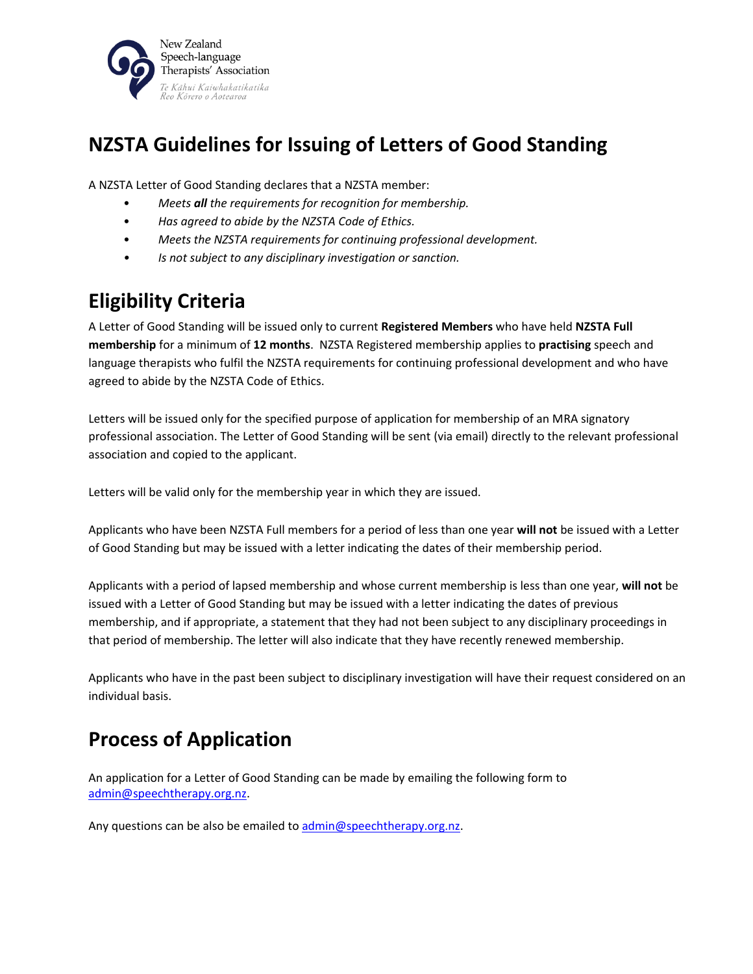

## **NZSTA Guidelines for Issuing of Letters of Good Standing**

A NZSTA Letter of Good Standing declares that a NZSTA member:

- *Meets all the requirements for recognition for membership.*
- *Has agreed to abide by the NZSTA Code of Ethics.*
- *Meets the NZSTA requirements for continuing professional development.*
- *Is not subject to any disciplinary investigation or sanction.*

## **Eligibility Criteria**

A Letter of Good Standing will be issued only to current **Registered Members** who have held **NZSTA Full membership** for a minimum of **12 months**. NZSTA Registered membership applies to **practising** speech and language therapists who fulfil the NZSTA requirements for continuing professional development and who have agreed to abide by the NZSTA Code of Ethics.

Letters will be issued only for the specified purpose of application for membership of an MRA signatory professional association. The Letter of Good Standing will be sent (via email) directly to the relevant professional association and copied to the applicant.

Letters will be valid only for the membership year in which they are issued.

Applicants who have been NZSTA Full members for a period of less than one year **will not** be issued with a Letter of Good Standing but may be issued with a letter indicating the dates of their membership period.

Applicants with a period of lapsed membership and whose current membership is less than one year, **will not** be issued with a Letter of Good Standing but may be issued with a letter indicating the dates of previous membership, and if appropriate, a statement that they had not been subject to any disciplinary proceedings in that period of membership. The letter will also indicate that they have recently renewed membership.

Applicants who have in the past been subject to disciplinary investigation will have their request considered on an individual basis.

## **Process of Application**

An application for a Letter of Good Standing can be made by emailing the following form to [admin@speechtherapy.org.nz.](mailto:admin@speechtherapy.ort.nz)

Any questions can be also be emailed to [admin@speechtherapy.org.nz.](mailto:admin@speechtherapy.ort.nz)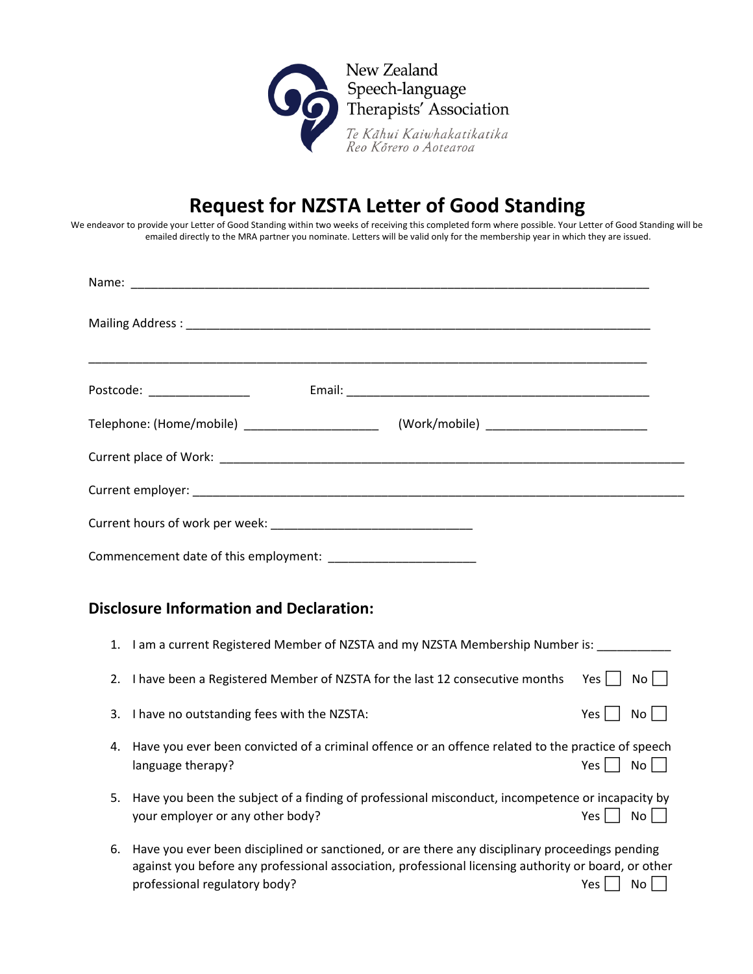

## **Request for NZSTA Letter of Good Standing**

We endeavor to provide your Letter of Good Standing within two weeks of receiving this completed form where possible. Your Letter of Good Standing will be emailed directly to the MRA partner you nominate. Letters will be valid only for the membership year in which they are issued.

| Postcode: ___________________                  |  |  |  |  |  |
|------------------------------------------------|--|--|--|--|--|
|                                                |  |  |  |  |  |
|                                                |  |  |  |  |  |
|                                                |  |  |  |  |  |
|                                                |  |  |  |  |  |
|                                                |  |  |  |  |  |
| <b>Disclosure Information and Declaration:</b> |  |  |  |  |  |

| 1. | I am a current Registered Member of NZSTA and my NZSTA Membership Number is:                                                                                                                                                             |            |       |
|----|------------------------------------------------------------------------------------------------------------------------------------------------------------------------------------------------------------------------------------------|------------|-------|
| 2. | I have been a Registered Member of NZSTA for the last 12 consecutive months                                                                                                                                                              | Yes l      | No II |
| 3. | I have no outstanding fees with the NZSTA:                                                                                                                                                                                               | Yes.       | No I  |
| 4. | Have you ever been convicted of a criminal offence or an offence related to the practice of speech<br>language therapy?                                                                                                                  | Yes        | No.   |
| 5. | Have you been the subject of a finding of professional misconduct, incompetence or incapacity by<br>your employer or any other body?                                                                                                     | Yes<br>Nο  |       |
| 6. | Have you ever been disciplined or sanctioned, or are there any disciplinary proceedings pending<br>against you before any professional association, professional licensing authority or board, or other<br>professional regulatory body? | Yes.<br>No |       |